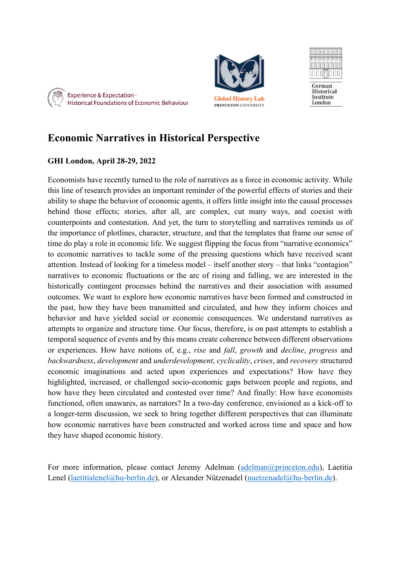







German Historical Institute London

# **Economic Narratives in Historical Perspective**

### **GHI London, April 28-29, 2022**

Economists have recently turned to the role of narratives as a force in economic activity. While this line of research provides an important reminder of the powerful effects of stories and their ability to shape the behavior of economic agents, it offers little insight into the causal processes behind those effects; stories, after all, are complex, cut many ways, and coexist with counterpoints and contestation. And yet, the turn to storytelling and narratives reminds us of the importance of plotlines, character, structure, and that the templates that frame our sense of time do play a role in economic life. We suggest flipping the focus from "narrative economics" to economic narratives to tackle some of the pressing questions which have received scant attention. Instead of looking for a timeless model – itself another story – that links "contagion" narratives to economic fluctuations or the arc of rising and falling, we are interested in the historically contingent processes behind the narratives and their association with assumed outcomes. We want to explore how economic narratives have been formed and constructed in the past, how they have been transmitted and circulated, and how they inform choices and behavior and have yielded social or economic consequences. We understand narratives as attempts to organize and structure time. Our focus, therefore, is on past attempts to establish a temporal sequence of events and by this means create coherence between different observations or experiences. How have notions of, e.g., *rise* and *fall*, *growth* and *decline*, *progress* and *backwardness*, *development* and *underdevelopment*, *cyclicality*, *crises*, and *recovery* structured economic imaginations and acted upon experiences and expectations? How have they highlighted, increased, or challenged socio-economic gaps between people and regions, and how have they been circulated and contested over time? And finally: How have economists functioned, often unawares, as narrators? In a two-day conference, envisioned as a kick-off to a longer-term discussion, we seek to bring together different perspectives that can illuminate how economic narratives have been constructed and worked across time and space and how they have shaped economic history.

For more information, please contact Jeremy Adelman (adelman@princeton.edu), Laetitia Lenel (laetitialenel@hu-berlin.de), or Alexander Nützenadel (nuetzenadel@hu-berlin.de).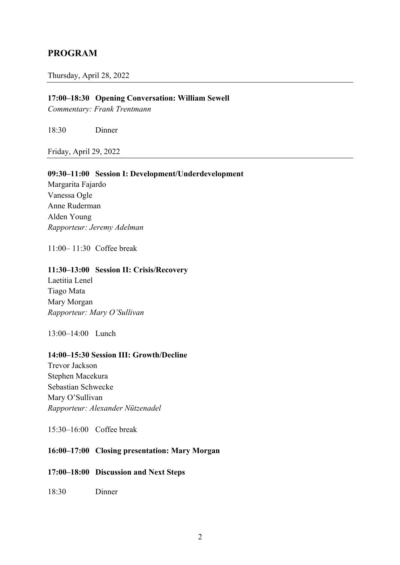### **PROGRAM**

#### Thursday, April 28, 2022

#### **17:00–18:30 Opening Conversation: William Sewell**

*Commentary: Frank Trentmann*

18:30 Dinner

Friday, April 29, 2022

#### **09:30–11:00 Session I: Development/Underdevelopment**

Margarita Fajardo Vanessa Ogle Anne Ruderman Alden Young *Rapporteur: Jeremy Adelman*

11:00– 11:30 Coffee break

#### **11:30–13:00 Session II: Crisis/Recovery**

Laetitia Lenel Tiago Mata Mary Morgan *Rapporteur: Mary O'Sullivan*

13:00–14:00 Lunch

#### **14:00–15:30 Session III: Growth/Decline**

Trevor Jackson Stephen Macekura Sebastian Schwecke Mary O'Sullivan *Rapporteur: Alexander Nützenadel*

15:30–16:00 Coffee break

#### **16:00–17:00 Closing presentation: Mary Morgan**

#### **17:00–18:00 Discussion and Next Steps**

18:30 Dinner